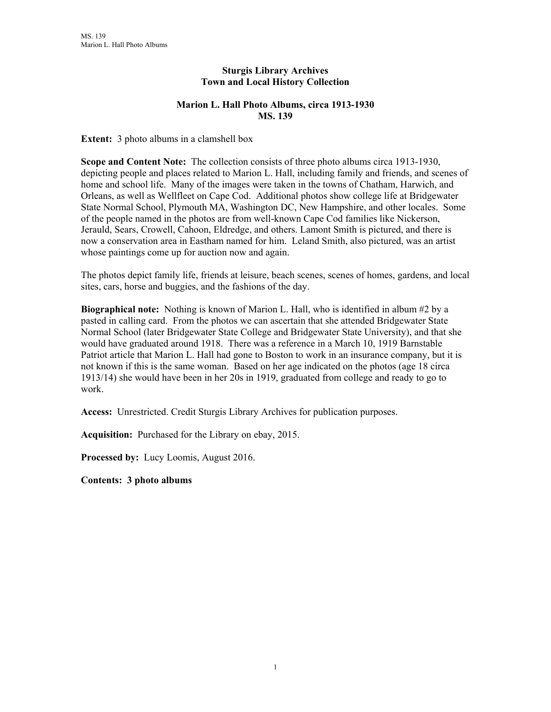## **Sturgis Library Archives Town and Local History Collection**

## **Marion L. Hall Photo Albums, circa 1913-1930 MS. 139**

**Extent:** 3 photo albums in a clamshell box

**Scope and Content Note:** The collection consists of three photo albums circa 1913-1930, depicting people and places related to Marion L. Hall, including family and friends, and scenes of home and school life. Many of the images were taken in the towns of Chatham, Harwich, and Orleans, as well as Wellfleet on Cape Cod. Additional photos show college life at Bridgewater State Normal School, Plymouth MA, Washington DC, New Hampshire, and other locales. Some of the people named in the photos are from well-known Cape Cod families like Nickerson, Jerauld, Sears, Crowell, Cahoon, Eldredge, and others. Lamont Smith is pictured, and there is now a conservation area in Eastham named for him. Leland Smith, also pictured, was an artist whose paintings come up for auction now and again.

The photos depict family life, friends at leisure, beach scenes, scenes of homes, gardens, and local sites, cars, horse and buggies, and the fashions of the day.

**Biographical note:** Nothing is known of Marion L. Hall, who is identified in album #2 by a pasted in calling card. From the photos we can ascertain that she attended Bridgewater State Normal School (later Bridgewater State College and Bridgewater State University), and that she would have graduated around 1918. There was a reference in a March 10, 1919 Barnstable Patriot article that Marion L. Hall had gone to Boston to work in an insurance company, but it is not known if this is the same woman. Based on her age indicated on the photos (age 18 circa 1913/14) she would have been in her 20s in 1919, graduated from college and ready to go to work.

**Access:** Unrestricted. Credit Sturgis Library Archives for publication purposes.

**Acquisition:** Purchased for the Library on ebay, 2015.

**Processed by:** Lucy Loomis, August 2016.

**Contents: 3 photo albums**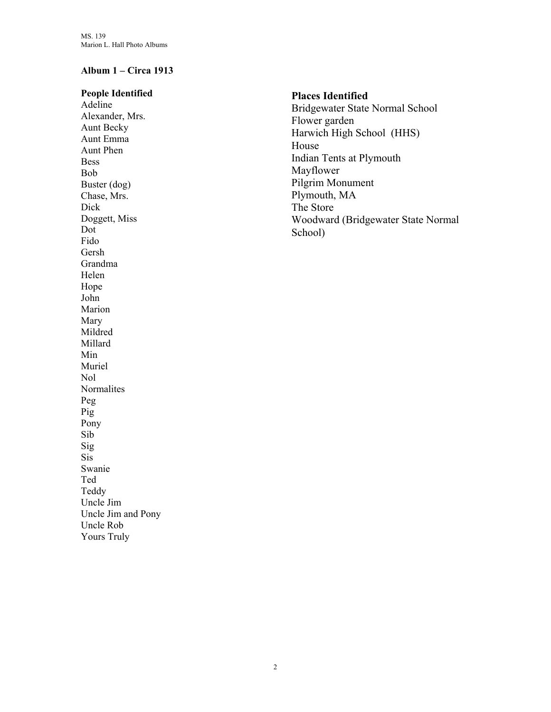# **Album 1 – Circa 1913**

Uncle Jim and Pony

Uncle Rob Yours Truly

| <b>People Identified</b><br>Adeline<br>Alexander, Mrs.<br><b>Aunt Becky</b><br>Aunt Emma<br>Aunt Phen<br><b>Bess</b><br>Bob<br>Buster (dog)<br>Chase, Mrs.<br>Dick<br>Doggett, Miss<br>Dot<br>Fido<br>Gersh<br>Grandma<br>Helen<br>Hope<br>John<br>Marion<br>Mary<br>Mildred<br>Millard<br>Min<br>Muriel<br>Nol<br>Normalites<br>Peg<br>Pig<br>Pony<br>Sib<br>Sig | <b>Places Identified</b><br>Bridgewater State Normal School<br>Flower garden<br>Harwich High School (HHS)<br>House<br>Indian Tents at Plymouth<br>Mayflower<br>Pilgrim Monument<br>Plymouth, MA<br>The Store<br>Woodward (Bridgewater State Normal<br>School) |
|-------------------------------------------------------------------------------------------------------------------------------------------------------------------------------------------------------------------------------------------------------------------------------------------------------------------------------------------------------------------|---------------------------------------------------------------------------------------------------------------------------------------------------------------------------------------------------------------------------------------------------------------|
|                                                                                                                                                                                                                                                                                                                                                                   |                                                                                                                                                                                                                                                               |
|                                                                                                                                                                                                                                                                                                                                                                   |                                                                                                                                                                                                                                                               |
| Sis                                                                                                                                                                                                                                                                                                                                                               |                                                                                                                                                                                                                                                               |
| Swanie                                                                                                                                                                                                                                                                                                                                                            |                                                                                                                                                                                                                                                               |
| Ted                                                                                                                                                                                                                                                                                                                                                               |                                                                                                                                                                                                                                                               |
| Teddy                                                                                                                                                                                                                                                                                                                                                             |                                                                                                                                                                                                                                                               |
| Uncle Jim                                                                                                                                                                                                                                                                                                                                                         |                                                                                                                                                                                                                                                               |
|                                                                                                                                                                                                                                                                                                                                                                   |                                                                                                                                                                                                                                                               |

#### 2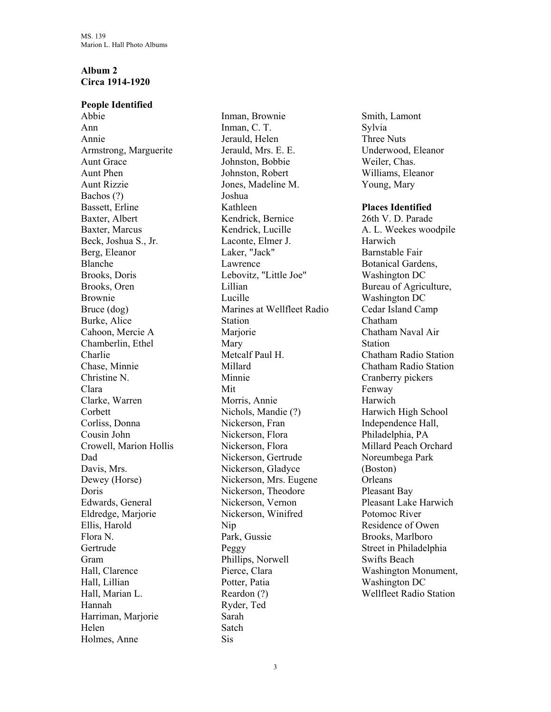## **Album 2 Circa 1914-1920**

### **People Identified**

Abbie Ann Annie Armstrong, Marguerite Aunt Grace Aunt Phen Aunt Rizzie Bachos (?) Bassett, Erline Baxter, Albert Baxter, Marcus Beck, Joshua S., Jr. Berg, Eleanor Blanche Brooks, Doris Brooks, Oren Brownie Bruce (dog) Burke, Alice Cahoon, Mercie A Chamberlin, Ethel Charlie Chase, Minnie Christine N. Clara Clarke, Warren **Corbett** Corliss, Donna Cousin John Crowell, Marion Hollis Dad Davis, Mrs. Dewey (Horse) Doris Edwards, General Eldredge, Marjorie Ellis, Harold Flora N. Gertrude Gram Hall, Clarence Hall, Lillian Hall, Marian L. Hannah Harriman, Marjorie Helen Holmes, Anne

Inman, Brownie Inman, C. T. Jerauld, Helen Jerauld, Mrs. E. E. Johnston, Bobbie Johnston, Robert Jones, Madeline M. Joshua Kathleen Kendrick, Bernice Kendrick, Lucille Laconte, Elmer J. Laker, "Jack" Lawrence Lebovitz, "Little Joe" Lillian Lucille Marines at Wellfleet Radio Station Marjorie Mary Metcalf Paul H. Millard Minnie Mit Morris, Annie Nichols, Mandie (?) Nickerson, Fran Nickerson, Flora Nickerson, Flora Nickerson, Gertrude Nickerson, Gladyce Nickerson, Mrs. Eugene Nickerson, Theodore Nickerson, Vernon Nickerson, Winifred Nip Park, Gussie Peggy Phillips, Norwell Pierce, Clara Potter, Patia Reardon (?) Ryder, Ted Sarah Satch Sis

Smith, Lamont Sylvia Three Nuts Underwood, Eleanor Weiler, Chas. Williams, Eleanor Young, Mary

## **Places Identified**

26th V. D. Parade A. L. Weekes woodpile Harwich Barnstable Fair Botanical Gardens, Washington DC Bureau of Agriculture, Washington DC Cedar Island Camp Chatham Chatham Naval Air Station Chatham Radio Station Chatham Radio Station Cranberry pickers Fenway Harwich Harwich High School Independence Hall, Philadelphia, PA Millard Peach Orchard Noreumbega Park (Boston) **Orleans** Pleasant Bay Pleasant Lake Harwich Potomoc River Residence of Owen Brooks, Marlboro Street in Philadelphia Swifts Beach Washington Monument, Washington DC Wellfleet Radio Station